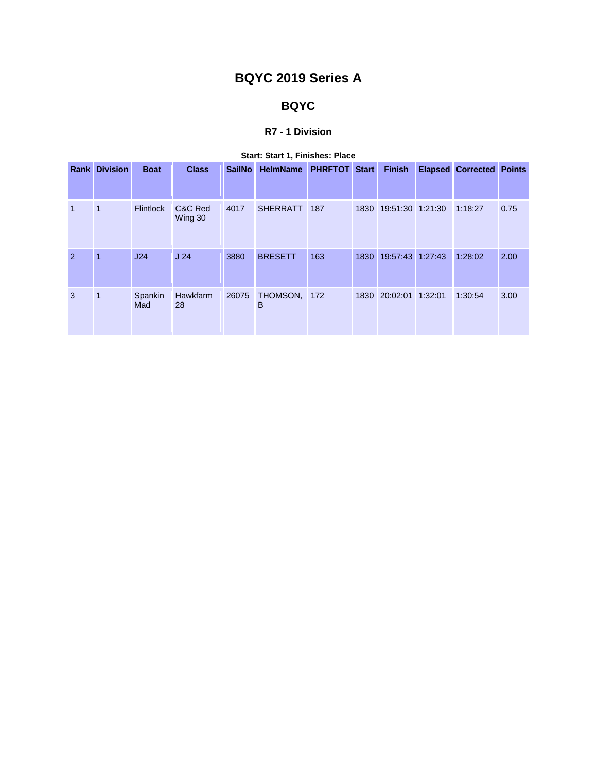# **BQYC 2019 Series A**

## **BQYC**

### **R7 - 1 Division**

|                | <b>Rank Division</b> | <b>Boat</b>      | <b>Class</b>       | <b>SailNo</b> | <b>HelmName</b>   | <b>PHRFTOT Start</b> |      | <b>Finish</b>         | <b>Elapsed Corrected Points</b> |      |
|----------------|----------------------|------------------|--------------------|---------------|-------------------|----------------------|------|-----------------------|---------------------------------|------|
| $\mathbf{1}$   | 1                    | <b>Flintlock</b> | C&C Red<br>Wing 30 | 4017          | <b>SHERRATT</b>   | 187                  |      | 1830 19:51:30 1:21:30 | 1:18:27                         | 0.75 |
| $\overline{2}$ | $\overline{1}$       | J24              | J <sub>24</sub>    | 3880          | <b>BRESETT</b>    | 163                  | 1830 | 19:57:43 1:27:43      | 1:28:02                         | 2.00 |
| 3              | $\mathbf{1}$         | Spankin<br>Mad   | Hawkfarm<br>28     | 26075         | THOMSON, 172<br>в |                      |      | 1830 20:02:01 1:32:01 | 1:30:54                         | 3.00 |

## **Start: Start 1, Finishes: Place**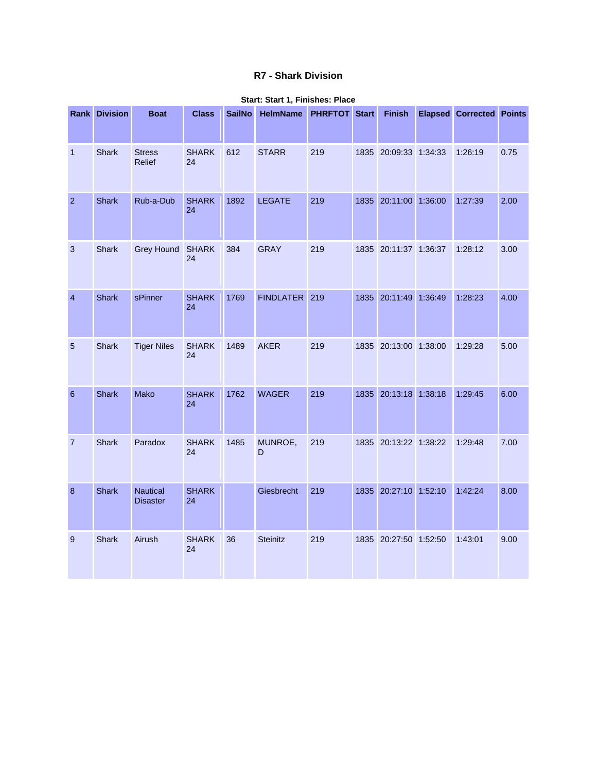## **R7 - Shark Division**

|                  | <b>Rank Division</b> | <b>Boat</b>                        | <b>Class</b>       | <b>SailNo</b> | HelmName PHRFTOT Start |     | <b>Finish</b>         | <b>Elapsed Corrected Points</b> |      |
|------------------|----------------------|------------------------------------|--------------------|---------------|------------------------|-----|-----------------------|---------------------------------|------|
| $\mathbf{1}$     | Shark                | <b>Stress</b><br>Relief            | <b>SHARK</b><br>24 | 612           | <b>STARR</b>           | 219 | 1835 20:09:33 1:34:33 | 1:26:19                         | 0.75 |
| $\overline{2}$   | <b>Shark</b>         | Rub-a-Dub                          | <b>SHARK</b><br>24 | 1892          | <b>LEGATE</b>          | 219 | 1835 20:11:00 1:36:00 | 1:27:39                         | 2.00 |
| 3                | Shark                | Grey Hound SHARK                   | 24                 | 384           | <b>GRAY</b>            | 219 | 1835 20:11:37 1:36:37 | 1:28:12                         | 3.00 |
| $\overline{4}$   | <b>Shark</b>         | sPinner                            | <b>SHARK</b><br>24 | 1769          | FINDLATER 219          |     | 1835 20:11:49 1:36:49 | 1:28:23                         | 4.00 |
| $\overline{5}$   | Shark                | <b>Tiger Niles</b>                 | <b>SHARK</b><br>24 | 1489          | <b>AKER</b>            | 219 | 1835 20:13:00 1:38:00 | 1:29:28                         | 5.00 |
| $\boldsymbol{6}$ | Shark                | Mako                               | <b>SHARK</b><br>24 | 1762          | <b>WAGER</b>           | 219 | 1835 20:13:18 1:38:18 | 1:29:45                         | 6.00 |
| $\overline{7}$   | Shark                | Paradox                            | <b>SHARK</b><br>24 | 1485          | MUNROE,<br>D           | 219 | 1835 20:13:22 1:38:22 | 1:29:48                         | 7.00 |
| 8                | <b>Shark</b>         | <b>Nautical</b><br><b>Disaster</b> | <b>SHARK</b><br>24 |               | Giesbrecht             | 219 | 1835 20:27:10 1:52:10 | 1:42:24                         | 8.00 |
| 9                | Shark                | Airush                             | <b>SHARK</b><br>24 | 36            | Steinitz               | 219 | 1835 20:27:50 1:52:50 | 1:43:01                         | 9.00 |

#### **Start: Start 1, Finishes: Place**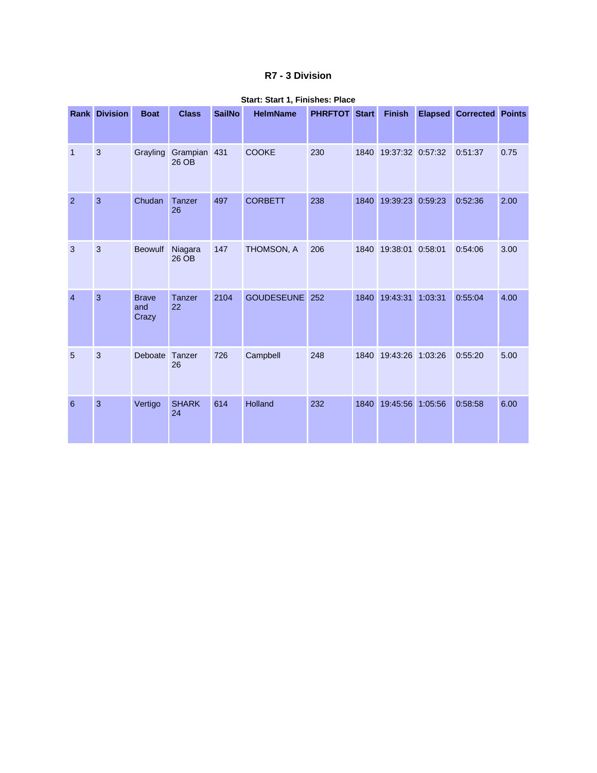## **R7 - 3 Division**

|                | <b>Rank Division</b> | <b>Boat</b>                  | <b>Class</b>          | <b>SailNo</b> | <b>HelmName</b>   | <b>PHRFTOT Start</b> |      | <b>Finish</b>    |         | <b>Elapsed Corrected Points</b> |      |
|----------------|----------------------|------------------------------|-----------------------|---------------|-------------------|----------------------|------|------------------|---------|---------------------------------|------|
| $\mathbf{1}$   | 3                    | Grayling                     | Grampian 431<br>26 OB |               | <b>COOKE</b>      | 230                  | 1840 | 19:37:32 0:57:32 |         | 0:51:37                         | 0.75 |
| $\overline{2}$ | 3                    | Chudan                       | <b>Tanzer</b><br>26   | 497           | <b>CORBETT</b>    | 238                  | 1840 | 19:39:23         | 0:59:23 | 0:52:36                         | 2.00 |
| 3              | $\mathbf{3}$         | <b>Beowulf</b>               | Niagara<br>26 OB      | 147           | THOMSON, A        | 206                  | 1840 | 19:38:01         | 0:58:01 | 0:54:06                         | 3.00 |
| $\overline{4}$ | $\overline{3}$       | <b>Brave</b><br>and<br>Crazy | Tanzer<br>22          | 2104          | <b>GOUDESEUNE</b> | 252                  | 1840 | 19:43:31         | 1:03:31 | 0:55:04                         | 4.00 |
| 5              | 3                    | Deboate                      | Tanzer<br>26          | 726           | Campbell          | 248                  | 1840 | 19:43:26 1:03:26 |         | 0:55:20                         | 5.00 |
| 6              | 3                    | Vertigo                      | <b>SHARK</b><br>24    | 614           | <b>Holland</b>    | 232                  | 1840 | 19:45:56         | 1:05:56 | 0:58:58                         | 6.00 |

## **Start: Start 1, Finishes: Place**